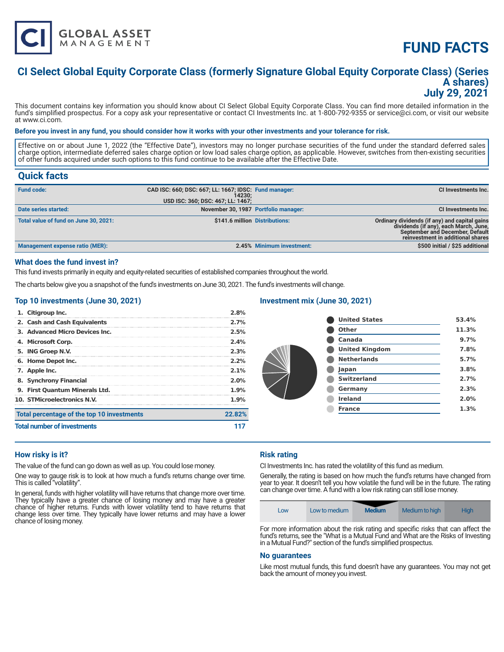

# **FUND FACTS**

### **CI Select Global Equity Corporate Class (formerly Signature Global Equity Corporate Class) (Series A shares) July 29, 2021**

This document contains key information you should know about CI Select Global Equity Corporate Class. You can find more detailed information in the fund's simplified prospectus. For a copy ask your representative or contact CI Investments Inc. at 1-800-792-9355 or service@ci.com, or visit our website at www.ci.com.

#### **Before you invest in any fund, you should consider how it works with your other investments and your tolerance for risk.**

Effective on or about June 1, 2022 (the "Effective Date"), investors may no longer purchase securities of the fund under the standard deferred sales charge option, intermediate deferred sales charge option or low load sales charge option, as applicable. However, switches from then-existing securities of other funds acquired under such options to this fund continue to be available after the Effective Date.

### **Quick facts**

| <b>Fund code:</b>                     | CAD ISC: 660; DSC: 667; LL: 1667; IDSC: Fund manager:<br>14230:<br>USD ISC: 360; DSC: 467; LL: 1467; |                           | CI Investments Inc.                                                                                                                                                   |
|---------------------------------------|------------------------------------------------------------------------------------------------------|---------------------------|-----------------------------------------------------------------------------------------------------------------------------------------------------------------------|
| Date series started:                  | November 30, 1987 Portfolio manager:                                                                 |                           | <b>CI Investments Inc.</b>                                                                                                                                            |
| Total value of fund on June 30, 2021: | \$141.6 million Distributions:                                                                       |                           | Ordinary dividends (if any) and capital gains<br>dividends (if any), each March, June,<br><b>September and December, Default</b><br>reinvestment in additional shares |
| Management expense ratio (MER):       |                                                                                                      | 2.45% Minimum investment: | \$500 initial / \$25 additional                                                                                                                                       |

#### **What does the fund invest in?**

This fund invests primarily in equity and equity-related securities of established companies throughout the world.

The charts below give you a snapshot of the fund's investments on June 30, 2021. The fund's investments will change.

#### **Top 10 investments (June 30, 2021)**

| <b>Total number of investments</b>         |         |
|--------------------------------------------|---------|
| Total percentage of the top 10 investments | 22.82%  |
| 10. STMicroelectronics N.V.                | 1.9%    |
| 9. First Ouantum Minerals Ltd.             | 1.9%    |
| 8. Synchrony Financial                     | 2.0%    |
| 7. Apple Inc.                              | 2.1%    |
| 6. Home Depot Inc.                         | $2.2\%$ |
| 5. ING Groep N.V.                          | 2.3%    |
| 4. Microsoft Corp.                         | 2.4%    |
| 3. Advanced Micro Devices Inc.             | 2.5%    |
| 2. Cash and Cash Equivalents               | 2.7%    |
| 1. Citigroup Inc.                          | 2.8%    |

#### **Investment mix (June 30, 2021)**

| <b>United States</b>  | 53.4% |
|-----------------------|-------|
| Other                 | 11.3% |
| Canada                | 9.7%  |
| <b>United Kingdom</b> | 7.8%  |
| <b>Netherlands</b>    | 5.7%  |
| Japan                 | 3.8%  |
| <b>Switzerland</b>    | 2.7%  |
| Germany               | 2.3%  |
| <b>Ireland</b>        | 2.0%  |
| <b>France</b>         | 1.3%  |
|                       |       |

#### **How risky is it?**

The value of the fund can go down as well as up. You could lose money.

One way to gauge risk is to look at how much a fund's returns change over time. This is called "volatility".

In general, funds with higher volatility will have returns that change more over time. They typically have a greater chance of losing money and may have a greater chance of higher returns. Funds with lower volatility tend to have returns that change less over time. They typically have lower returns and may have a lower chance of losing money.

#### **Risk rating**

CI Investments Inc. has rated the volatility of this fund as medium.

Generally, the rating is based on how much the fund's returns have changed from year to year. It doesn't tell you how volatile the fund will be in the future. The rating can change over time. A fund with a low risk rating can still lose money.



For more information about the risk rating and specific risks that can affect the fund's returns, see the "What is a Mutual Fund and What are the Risks of Investing in a Mutual Fund?" section of the fund's simplified prospectus.

#### **No guarantees**

Like most mutual funds, this fund doesn't have any guarantees. You may not get back the amount of money you invest.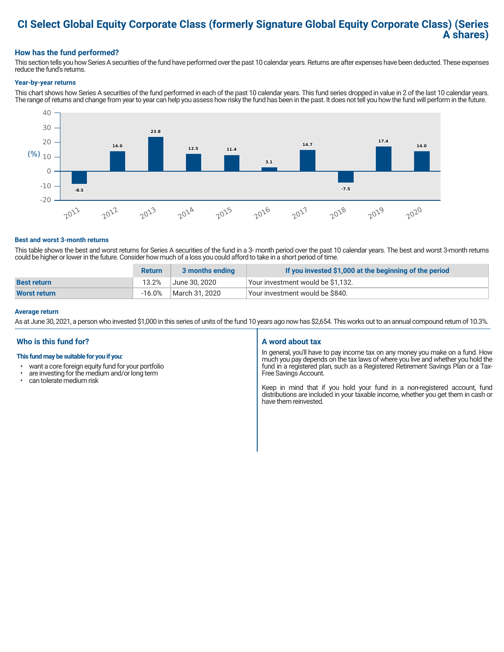### **CI Select Global Equity Corporate Class (formerly Signature Global Equity Corporate Class) (Series A shares)**

#### **How has the fund performed?**

This section tells you how Series A securities of the fund have performed over the past 10 calendar years. Returns are after expenses have been deducted. These expenses reduce the fund's returns.

#### **Year-by-year returns**

This chart shows how Series A securities of the fund performed in each of the past 10 calendar years. This fund series dropped in value in 2 of the last 10 calendar years. The range of returns and change from year to year can help you assess how risky the fund has been in the past. It does not tell you how the fund will perform in the future.



#### **Best and worst 3-month returns**

This table shows the best and worst returns for Series A securities of the fund in a 3- month period over the past 10 calendar years. The best and worst 3-month returns could be higher or lower in the future. Consider how much of a loss you could afford to take in a short period of time.

|                     | <b>Return</b> | 3 months ending | If you invested \$1,000 at the beginning of the period |
|---------------------|---------------|-----------------|--------------------------------------------------------|
| <b>Best return</b>  | 13.2%         | June 30. 2020   | Your investment would be \$1,132.                      |
| <b>Worst return</b> | $-16.0%$      | March 31, 2020  | Vour investment would be \$840.                        |

#### **Average return**

As at June 30, 2021, a person who invested \$1,000 in this series of units of the fund 10 years ago now has \$2,654. This works out to an annual compound return of 10.3%.

#### **Who is this fund for?**

#### **This fund may be suitable for you if you:**

- want a core foreign equity fund for your portfolio
- $\cdot$  are investing for the medium and/or long term  $\cdot$  can telerate medium risk
- can tolerate medium risk

#### **A word about tax**

In general, you'll have to pay income tax on any money you make on a fund. How much you pay depends on the tax laws of where you live and whether you hold the fund in a registered plan, such as a Registered Retirement Savings Plan or a Tax-Free Savings Account.

Keep in mind that if you hold your fund in a non-registered account, fund distributions are included in your taxable income, whether you get them in cash or have them reinvested.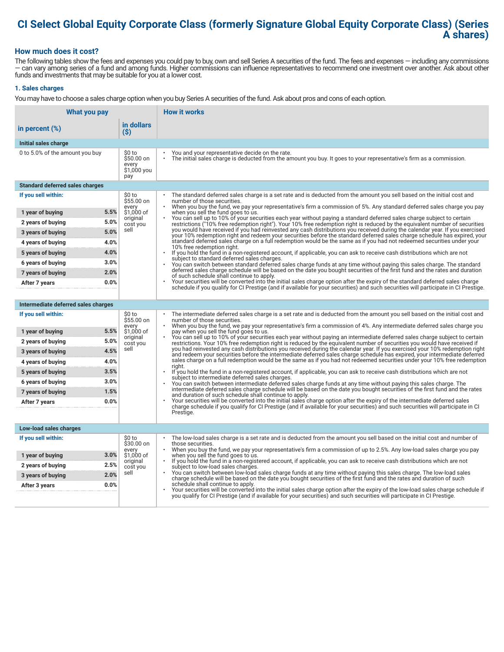## **CI Select Global Equity Corporate Class (formerly Signature Global Equity Corporate Class) (Series A shares)**

#### **How much does it cost?**

The following tables show the fees and expenses you could pay to buy, own and sell Series A securities of the fund. The fees and expenses — including any commissions — can vary among series of a fund and among funds. Higher commissions can influence representatives to recommend one investment over another. Ask about other funds and investments that may be suitable for you at a lower cost.

#### **1. Sales charges**

You may have to choose a sales charge option when you buy Series A securities of the fund. Ask about pros and cons of each option.

| What you pay                           |                                                     | <b>How it works</b>                                                                                                                                                                                                                                                                   |
|----------------------------------------|-----------------------------------------------------|---------------------------------------------------------------------------------------------------------------------------------------------------------------------------------------------------------------------------------------------------------------------------------------|
| in percent $(\%)$                      | in dollars<br>$(\$)$                                |                                                                                                                                                                                                                                                                                       |
| Initial sales charge                   |                                                     |                                                                                                                                                                                                                                                                                       |
| 0 to 5.0% of the amount you buy        | \$0 to<br>\$50.00 on<br>every<br>\$1,000 you<br>pay | You and your representative decide on the rate.<br>The initial sales charge is deducted from the amount you buy. It goes to your representative's firm as a commission.                                                                                                               |
| <b>Standard deferred sales charges</b> |                                                     |                                                                                                                                                                                                                                                                                       |
| If you sell within:                    | \$0 to<br>\$55.00 on                                | The standard deferred sales charge is a set rate and is deducted from the amount you sell based on the initial cost and<br>number of those securities.<br>When you buy the fund, we pay your representative's firm a commission of 5%. Any standard deferred sales charge you pay     |
| 1 year of buying                       | every<br>5.5%<br>\$1.000 of                         | when you sell the fund goes to us.                                                                                                                                                                                                                                                    |
| 2 years of buying                      | original<br>5.0%<br>cost you                        | You can sell up to 10% of your securities each year without paying a standard deferred sales charge subject to certain<br>restrictions ("10% free redemption right"). Your 10% free redemption right is reduced by the equivalent number of securities                                |
| 3 years of buying                      | sell<br>5.0%                                        | you would have received if you had reinvested any cash distributions you received during the calendar year. If you exercised<br>your 10% redemption right and redeem your securities before the standard deferred sales charge schedule has expired, your                             |
| 4 years of buying                      | 4.0%                                                | standard deferred sales charge on a full redemption would be the same as if you had not redeemed securities under your<br>10% free redemption right.                                                                                                                                  |
| 5 years of buying                      | 4.0%                                                | If you hold the fund in a non-registered account, if applicable, you can ask to receive cash distributions which are not<br>$\ddot{\phantom{0}}$<br>subject to standard deferred sales charges.                                                                                       |
| 6 years of buying                      | 3.0%                                                | You can switch between standard deferred sales charge funds at any time without paying this sales charge. The standard                                                                                                                                                                |
| 7 years of buying                      | 2.0%                                                | deferred sales charge schedule will be based on the date you bought securities of the first fund and the rates and duration<br>of such schedule shall continue to apply.                                                                                                              |
| After 7 years                          | 0.0%                                                | Your securities will be converted into the initial sales charge option after the expiry of the standard deferred sales charge<br>schedule if you qualify for CI Prestige (and if available for your securities) and such securities will participate in CI Prestige.                  |
|                                        |                                                     |                                                                                                                                                                                                                                                                                       |
| Intermediate deferred sales charges    |                                                     |                                                                                                                                                                                                                                                                                       |
| If you sell within:                    | \$0 to<br>\$55.00 on<br>every                       | The intermediate deferred sales charge is a set rate and is deducted from the amount you sell based on the initial cost and<br>number of those securities.<br>When you buy the fund, we pay your representative's firm a commission of 4%. Any intermediate deferred sales charge you |
| 1 year of buying                       | 5.5%<br>\$1,000 of<br>original                      | pay when you sell the fund goes to us.<br>You can sell up to 10% of your securities each year without paying an intermediate deferred sales charge subject to certain                                                                                                                 |
| 2 years of buying                      | 5.0%<br>cost you                                    | restrictions. Your 10% free redemption right is reduced by the equivalent number of securities you would have received if                                                                                                                                                             |
| 3 years of buying                      | sell<br>4.5%                                        | you had reinvested any cash distributions you received during the calendar year. If you exercised your 10% redemption right<br>and redeem your securities before the intermediate deferred sales charge schedule has expired, your intermediate deferred                              |
| 4 years of buying                      | 4.0%                                                | sales charge on a full redemption would be the same as if you had not redeemed securities under your 10% free redemption<br>riaht.                                                                                                                                                    |
| 5 years of buying                      | 3.5%                                                | If you hold the fund in a non-registered account, if applicable, you can ask to receive cash distributions which are not<br>subject to intermediate deferred sales charges.                                                                                                           |
| 6 years of buying                      | 3.0%                                                | You can switch between intermediate deferred sales charge funds at any time without paying this sales charge. The<br>intermediate deferred sales charge schedule will be based on the date you bought securities of the first fund and the rates                                      |
| 7 years of buying                      | 1.5%                                                | and duration of such schedule shall continue to apply.                                                                                                                                                                                                                                |
| After 7 years                          | 0.0%                                                | Your securities will be converted into the initial sales charge option after the expiry of the intermediate deferred sales<br>charge schedule if you qualify for CI Prestige (and if available for your securities) and such securities will participate in CI                        |
|                                        |                                                     | Prestige.                                                                                                                                                                                                                                                                             |
| Low-load sales charges                 |                                                     |                                                                                                                                                                                                                                                                                       |
| If you sell within:                    | \$0 to<br>\$30.00 on                                | The low-load sales charge is a set rate and is deducted from the amount you sell based on the initial cost and number of<br>those securities.                                                                                                                                         |
| 1 year of buying                       | every<br>3.0%<br>\$1,000 of                         | When you buy the fund, we pay your representative's firm a commission of up to 2.5%. Any low-load sales charge you pay<br>when you sell the fund goes to us.                                                                                                                          |
| 2 years of buying                      | original<br>2.5%<br>cost you                        | If you hold the fund in a non-registered account, if applicable, you can ask to receive cash distributions which are not<br>subject to low-load sales charges.                                                                                                                        |
| 3 years of buying                      | sell<br>2.0%                                        | You can switch between low-load sales charge funds at any time without paying this sales charge. The low-load sales<br>charge schedule will be based on the date you bought securities of the first fund and the rates and duration of such                                           |
| After 3 years                          | 0.0%                                                | schedule shall continue to apply.<br>Your securities will be converted into the initial sales charge option after the expiry of the low-load sales charge schedule if                                                                                                                 |
|                                        |                                                     | you qualify for CI Prestige (and if available for your securities) and such securities will participate in CI Prestige.                                                                                                                                                               |